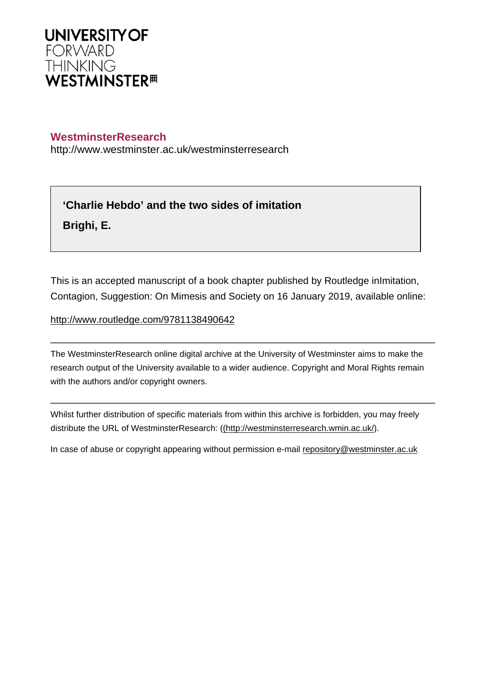

# **WestminsterResearch**

http://www.westminster.ac.uk/westminsterresearch

**'Charlie Hebdo' and the two sides of imitation**

**Brighi, E.**

This is an accepted manuscript of a book chapter published by Routledge inImitation, Contagion, Suggestion: On Mimesis and Society on 16 January 2019, available online:

<http://www.routledge.com/9781138490642>

The WestminsterResearch online digital archive at the University of Westminster aims to make the research output of the University available to a wider audience. Copyright and Moral Rights remain with the authors and/or copyright owners.

Whilst further distribution of specific materials from within this archive is forbidden, you may freely distribute the URL of WestminsterResearch: [\(\(http://westminsterresearch.wmin.ac.uk/](http://westminsterresearch.wmin.ac.uk/)).

In case of abuse or copyright appearing without permission e-mail <repository@westminster.ac.uk>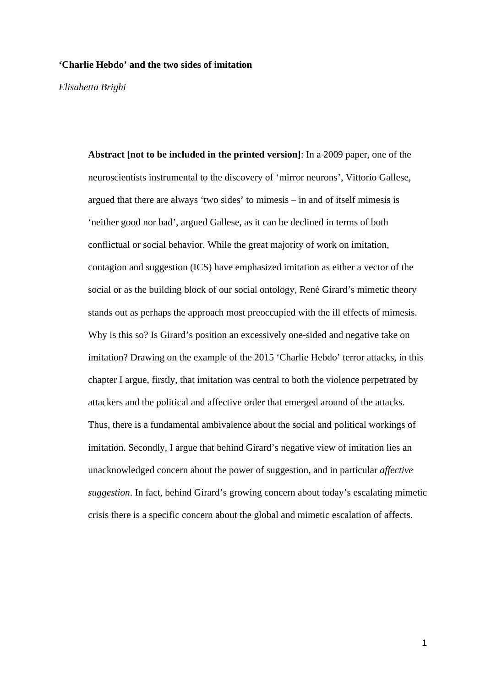#### **'Charlie Hebdo' and the two sides of imitation**

*Elisabetta Brighi*

**Abstract [not to be included in the printed version]**: In a 2009 paper, one of the neuroscientists instrumental to the discovery of 'mirror neurons', Vittorio Gallese, argued that there are always 'two sides' to mimesis – in and of itself mimesis is 'neither good nor bad', argued Gallese, as it can be declined in terms of both conflictual or social behavior. While the great majority of work on imitation, contagion and suggestion (ICS) have emphasized imitation as either a vector of the social or as the building block of our social ontology, René Girard's mimetic theory stands out as perhaps the approach most preoccupied with the ill effects of mimesis. Why is this so? Is Girard's position an excessively one-sided and negative take on imitation? Drawing on the example of the 2015 'Charlie Hebdo' terror attacks, in this chapter I argue, firstly, that imitation was central to both the violence perpetrated by attackers and the political and affective order that emerged around of the attacks. Thus, there is a fundamental ambivalence about the social and political workings of imitation. Secondly, I argue that behind Girard's negative view of imitation lies an unacknowledged concern about the power of suggestion, and in particular *affective suggestion*. In fact, behind Girard's growing concern about today's escalating mimetic crisis there is a specific concern about the global and mimetic escalation of affects.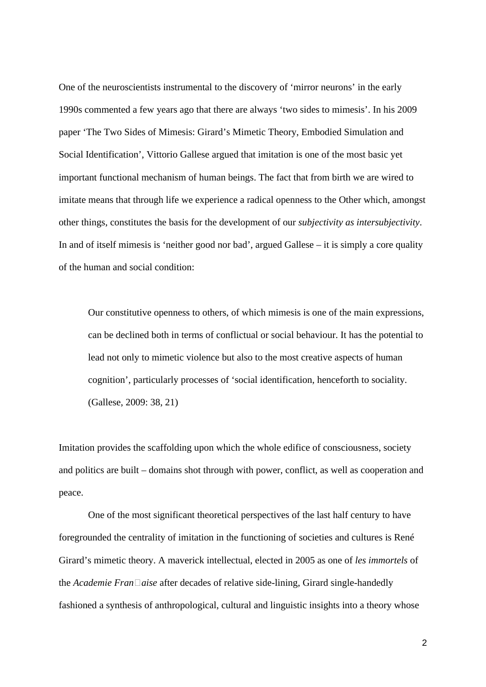One of the neuroscientists instrumental to the discovery of 'mirror neurons' in the early 1990s commented a few years ago that there are always 'two sides to mimesis'. In his 2009 paper 'The Two Sides of Mimesis: Girard's Mimetic Theory, Embodied Simulation and Social Identification', Vittorio Gallese argued that imitation is one of the most basic yet important functional mechanism of human beings. The fact that from birth we are wired to imitate means that through life we experience a radical openness to the Other which, amongst other things, constitutes the basis for the development of our *subjectivity as intersubjectivity*. In and of itself mimesis is 'neither good nor bad', argued Gallese – it is simply a core quality of the human and social condition:

Our constitutive openness to others, of which mimesis is one of the main expressions, can be declined both in terms of conflictual or social behaviour. It has the potential to lead not only to mimetic violence but also to the most creative aspects of human cognition', particularly processes of 'social identification, henceforth to sociality. (Gallese, 2009: 38, 21)

Imitation provides the scaffolding upon which the whole edifice of consciousness, society and politics are built – domains shot through with power, conflict, as well as cooperation and peace.

One of the most significant theoretical perspectives of the last half century to have foregrounded the centrality of imitation in the functioning of societies and cultures is René Girard's mimetic theory. A maverick intellectual, elected in 2005 as one of *les immortels* of the *Academie Fran*□*aise* after decades of relative side-lining, Girard single-handedly fashioned a synthesis of anthropological, cultural and linguistic insights into a theory whose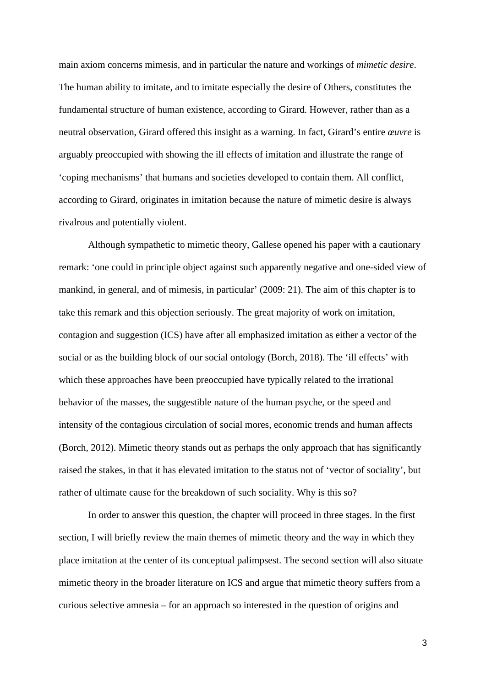main axiom concerns mimesis, and in particular the nature and workings of *mimetic desire*. The human ability to imitate, and to imitate especially the desire of Others, constitutes the fundamental structure of human existence, according to Girard. However, rather than as a neutral observation, Girard offered this insight as a warning. In fact, Girard's entire *œuvre* is arguably preoccupied with showing the ill effects of imitation and illustrate the range of 'coping mechanisms' that humans and societies developed to contain them. All conflict, according to Girard, originates in imitation because the nature of mimetic desire is always rivalrous and potentially violent.

Although sympathetic to mimetic theory, Gallese opened his paper with a cautionary remark: 'one could in principle object against such apparently negative and one-sided view of mankind, in general, and of mimesis, in particular' (2009: 21). The aim of this chapter is to take this remark and this objection seriously. The great majority of work on imitation, contagion and suggestion (ICS) have after all emphasized imitation as either a vector of the social or as the building block of our social ontology (Borch, 2018). The 'ill effects' with which these approaches have been preoccupied have typically related to the irrational behavior of the masses, the suggestible nature of the human psyche, or the speed and intensity of the contagious circulation of social mores, economic trends and human affects (Borch, 2012). Mimetic theory stands out as perhaps the only approach that has significantly raised the stakes, in that it has elevated imitation to the status not of 'vector of sociality', but rather of ultimate cause for the breakdown of such sociality. Why is this so?

In order to answer this question, the chapter will proceed in three stages. In the first section, I will briefly review the main themes of mimetic theory and the way in which they place imitation at the center of its conceptual palimpsest. The second section will also situate mimetic theory in the broader literature on ICS and argue that mimetic theory suffers from a curious selective amnesia – for an approach so interested in the question of origins and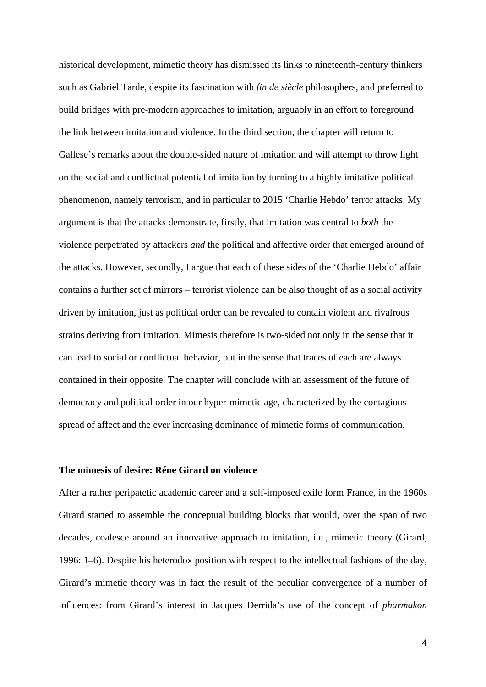historical development, mimetic theory has dismissed its links to nineteenth-century thinkers such as Gabriel Tarde, despite its fascination with *fin de siècle* philosophers, and preferred to build bridges with pre-modern approaches to imitation, arguably in an effort to foreground the link between imitation and violence. In the third section, the chapter will return to Gallese's remarks about the double-sided nature of imitation and will attempt to throw light on the social and conflictual potential of imitation by turning to a highly imitative political phenomenon, namely terrorism, and in particular to 2015 'Charlie Hebdo' terror attacks. My argument is that the attacks demonstrate, firstly, that imitation was central to *both* the violence perpetrated by attackers *and* the political and affective order that emerged around of the attacks. However, secondly, I argue that each of these sides of the 'Charlie Hebdo' affair contains a further set of mirrors – terrorist violence can be also thought of as a social activity driven by imitation, just as political order can be revealed to contain violent and rivalrous strains deriving from imitation. Mimesis therefore is two-sided not only in the sense that it can lead to social or conflictual behavior, but in the sense that traces of each are always contained in their opposite. The chapter will conclude with an assessment of the future of democracy and political order in our hyper-mimetic age, characterized by the contagious spread of affect and the ever increasing dominance of mimetic forms of communication.

## **The mimesis of desire: Réne Girard on violence**

After a rather peripatetic academic career and a self-imposed exile form France, in the 1960s Girard started to assemble the conceptual building blocks that would, over the span of two decades, coalesce around an innovative approach to imitation, i.e., mimetic theory (Girard, 1996: 1–6). Despite his heterodox position with respect to the intellectual fashions of the day, Girard's mimetic theory was in fact the result of the peculiar convergence of a number of influences: from Girard's interest in Jacques Derrida's use of the concept of *pharmakon*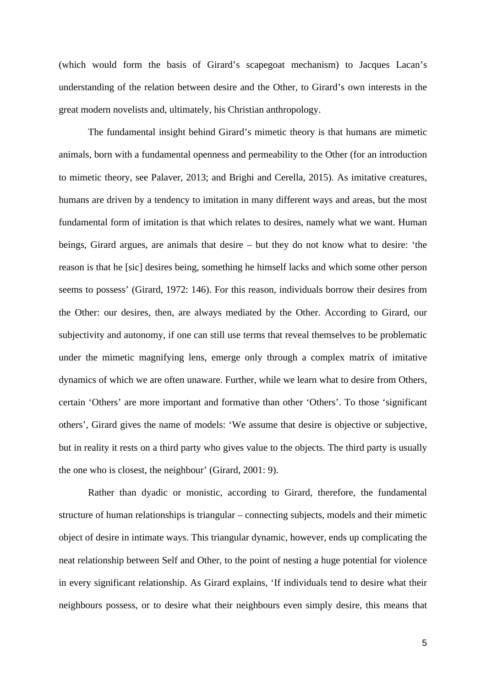(which would form the basis of Girard's scapegoat mechanism) to Jacques Lacan's understanding of the relation between desire and the Other, to Girard's own interests in the great modern novelists and, ultimately, his Christian anthropology.

The fundamental insight behind Girard's mimetic theory is that humans are mimetic animals, born with a fundamental openness and permeability to the Other (for an introduction to mimetic theory, see Palaver, 2013; and Brighi and Cerella, 2015). As imitative creatures, humans are driven by a tendency to imitation in many different ways and areas, but the most fundamental form of imitation is that which relates to desires, namely what we want. Human beings, Girard argues, are animals that desire – but they do not know what to desire: 'the reason is that he [sic] desires being, something he himself lacks and which some other person seems to possess' (Girard, 1972: 146). For this reason, individuals borrow their desires from the Other: our desires, then, are always mediated by the Other. According to Girard, our subjectivity and autonomy, if one can still use terms that reveal themselves to be problematic under the mimetic magnifying lens, emerge only through a complex matrix of imitative dynamics of which we are often unaware. Further, while we learn what to desire from Others, certain 'Others' are more important and formative than other 'Others'. To those 'significant others', Girard gives the name of models: 'We assume that desire is objective or subjective, but in reality it rests on a third party who gives value to the objects. The third party is usually the one who is closest, the neighbour' (Girard, 2001: 9).

Rather than dyadic or monistic, according to Girard, therefore, the fundamental structure of human relationships is triangular – connecting subjects, models and their mimetic object of desire in intimate ways. This triangular dynamic, however, ends up complicating the neat relationship between Self and Other, to the point of nesting a huge potential for violence in every significant relationship. As Girard explains, 'If individuals tend to desire what their neighbours possess, or to desire what their neighbours even simply desire, this means that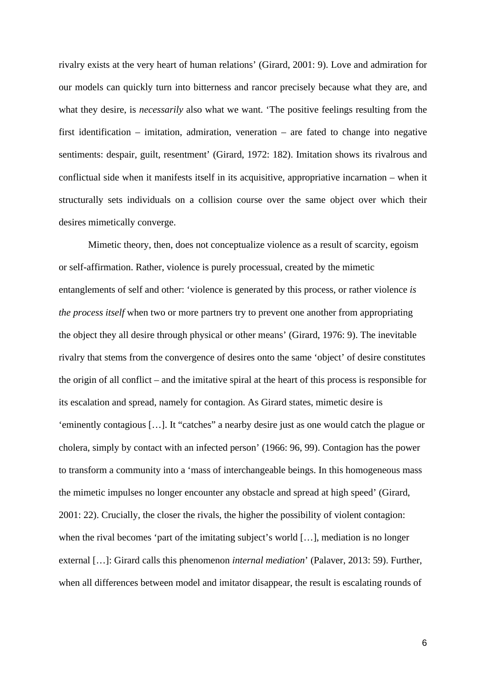rivalry exists at the very heart of human relations' (Girard, 2001: 9). Love and admiration for our models can quickly turn into bitterness and rancor precisely because what they are, and what they desire, is *necessarily* also what we want. 'The positive feelings resulting from the first identification – imitation, admiration, veneration – are fated to change into negative sentiments: despair, guilt, resentment' (Girard, 1972: 182). Imitation shows its rivalrous and conflictual side when it manifests itself in its acquisitive, appropriative incarnation – when it structurally sets individuals on a collision course over the same object over which their desires mimetically converge.

Mimetic theory, then, does not conceptualize violence as a result of scarcity, egoism or self-affirmation. Rather, violence is purely processual, created by the mimetic entanglements of self and other: 'violence is generated by this process, or rather violence *is the process itself* when two or more partners try to prevent one another from appropriating the object they all desire through physical or other means' (Girard, 1976: 9). The inevitable rivalry that stems from the convergence of desires onto the same 'object' of desire constitutes the origin of all conflict – and the imitative spiral at the heart of this process is responsible for its escalation and spread, namely for contagion. As Girard states, mimetic desire is 'eminently contagious […]. It "catches" a nearby desire just as one would catch the plague or cholera, simply by contact with an infected person' (1966: 96, 99). Contagion has the power to transform a community into a 'mass of interchangeable beings. In this homogeneous mass the mimetic impulses no longer encounter any obstacle and spread at high speed' (Girard, 2001: 22). Crucially, the closer the rivals, the higher the possibility of violent contagion: when the rival becomes 'part of the imitating subject's world […], mediation is no longer external […]: Girard calls this phenomenon *internal mediation*' (Palaver, 2013: 59). Further, when all differences between model and imitator disappear, the result is escalating rounds of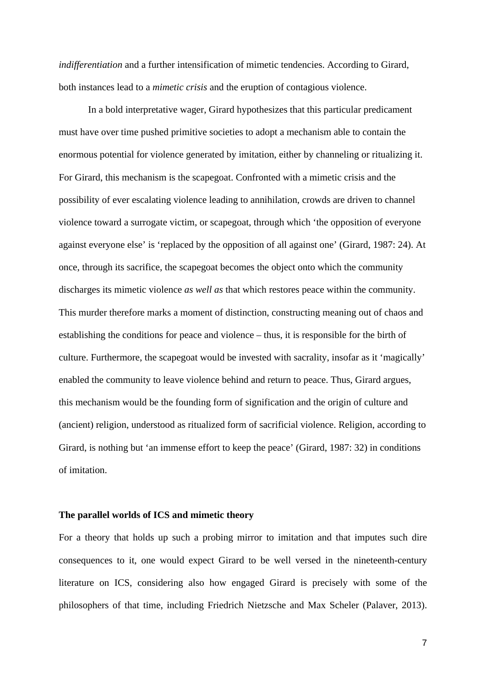*indifferentiation* and a further intensification of mimetic tendencies. According to Girard, both instances lead to a *mimetic crisis* and the eruption of contagious violence.

In a bold interpretative wager, Girard hypothesizes that this particular predicament must have over time pushed primitive societies to adopt a mechanism able to contain the enormous potential for violence generated by imitation, either by channeling or ritualizing it. For Girard, this mechanism is the scapegoat. Confronted with a mimetic crisis and the possibility of ever escalating violence leading to annihilation, crowds are driven to channel violence toward a surrogate victim, or scapegoat, through which 'the opposition of everyone against everyone else' is 'replaced by the opposition of all against one' (Girard, 1987: 24). At once, through its sacrifice, the scapegoat becomes the object onto which the community discharges its mimetic violence *as well as* that which restores peace within the community. This murder therefore marks a moment of distinction, constructing meaning out of chaos and establishing the conditions for peace and violence – thus, it is responsible for the birth of culture. Furthermore, the scapegoat would be invested with sacrality, insofar as it 'magically' enabled the community to leave violence behind and return to peace. Thus, Girard argues, this mechanism would be the founding form of signification and the origin of culture and (ancient) religion, understood as ritualized form of sacrificial violence. Religion, according to Girard, is nothing but 'an immense effort to keep the peace' (Girard, 1987: 32) in conditions of imitation.

#### **The parallel worlds of ICS and mimetic theory**

For a theory that holds up such a probing mirror to imitation and that imputes such dire consequences to it, one would expect Girard to be well versed in the nineteenth-century literature on ICS, considering also how engaged Girard is precisely with some of the philosophers of that time, including Friedrich Nietzsche and Max Scheler (Palaver, 2013).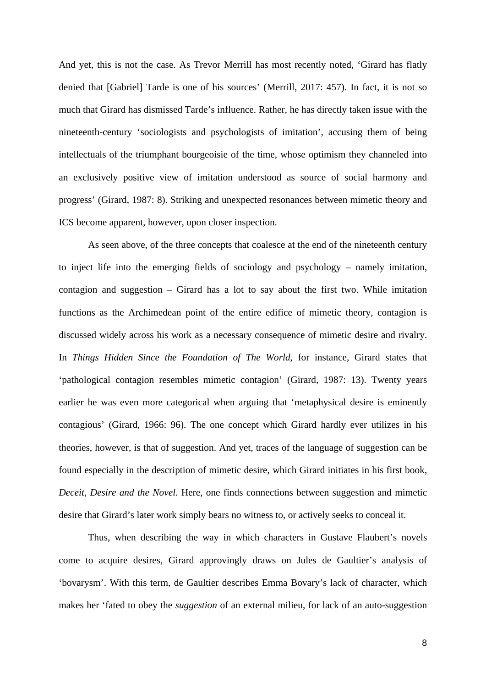And yet, this is not the case. As Trevor Merrill has most recently noted, 'Girard has flatly denied that [Gabriel] Tarde is one of his sources' (Merrill, 2017: 457). In fact, it is not so much that Girard has dismissed Tarde's influence. Rather, he has directly taken issue with the nineteenth-century 'sociologists and psychologists of imitation', accusing them of being intellectuals of the triumphant bourgeoisie of the time, whose optimism they channeled into an exclusively positive view of imitation understood as source of social harmony and progress' (Girard, 1987: 8). Striking and unexpected resonances between mimetic theory and ICS become apparent, however, upon closer inspection.

As seen above, of the three concepts that coalesce at the end of the nineteenth century to inject life into the emerging fields of sociology and psychology – namely imitation, contagion and suggestion – Girard has a lot to say about the first two. While imitation functions as the Archimedean point of the entire edifice of mimetic theory, contagion is discussed widely across his work as a necessary consequence of mimetic desire and rivalry. In *Things Hidden Since the Foundation of The World,* for instance, Girard states that 'pathological contagion resembles mimetic contagion' (Girard, 1987: 13). Twenty years earlier he was even more categorical when arguing that 'metaphysical desire is eminently contagious' (Girard, 1966: 96). The one concept which Girard hardly ever utilizes in his theories, however, is that of suggestion. And yet, traces of the language of suggestion can be found especially in the description of mimetic desire, which Girard initiates in his first book, *Deceit, Desire and the Novel*. Here, one finds connections between suggestion and mimetic desire that Girard's later work simply bears no witness to, or actively seeks to conceal it.

Thus, when describing the way in which characters in Gustave Flaubert's novels come to acquire desires, Girard approvingly draws on Jules de Gaultier's analysis of 'bovarysm'. With this term, de Gaultier describes Emma Bovary's lack of character, which makes her 'fated to obey the *suggestion* of an external milieu, for lack of an auto-suggestion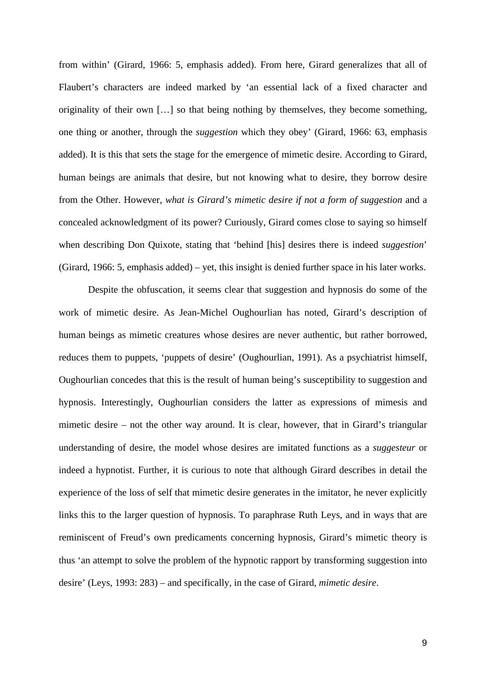from within' (Girard, 1966: 5, emphasis added). From here, Girard generalizes that all of Flaubert's characters are indeed marked by 'an essential lack of a fixed character and originality of their own […] so that being nothing by themselves, they become something, one thing or another, through the *suggestion* which they obey' (Girard, 1966: 63, emphasis added). It is this that sets the stage for the emergence of mimetic desire. According to Girard, human beings are animals that desire, but not knowing what to desire, they borrow desire from the Other. However, *what is Girard's mimetic desire if not a form of suggestion* and a concealed acknowledgment of its power? Curiously, Girard comes close to saying so himself when describing Don Quixote, stating that 'behind [his] desires there is indeed *suggestion*' (Girard, 1966: 5, emphasis added) – yet, this insight is denied further space in his later works.

Despite the obfuscation, it seems clear that suggestion and hypnosis do some of the work of mimetic desire. As Jean-Michel Oughourlian has noted, Girard's description of human beings as mimetic creatures whose desires are never authentic, but rather borrowed, reduces them to puppets, 'puppets of desire' (Oughourlian, 1991). As a psychiatrist himself, Oughourlian concedes that this is the result of human being's susceptibility to suggestion and hypnosis. Interestingly, Oughourlian considers the latter as expressions of mimesis and mimetic desire – not the other way around. It is clear, however, that in Girard's triangular understanding of desire, the model whose desires are imitated functions as a *suggesteur* or indeed a hypnotist. Further, it is curious to note that although Girard describes in detail the experience of the loss of self that mimetic desire generates in the imitator, he never explicitly links this to the larger question of hypnosis. To paraphrase Ruth Leys, and in ways that are reminiscent of Freud's own predicaments concerning hypnosis, Girard's mimetic theory is thus 'an attempt to solve the problem of the hypnotic rapport by transforming suggestion into desire' (Leys, 1993: 283) – and specifically, in the case of Girard, *mimetic desire*.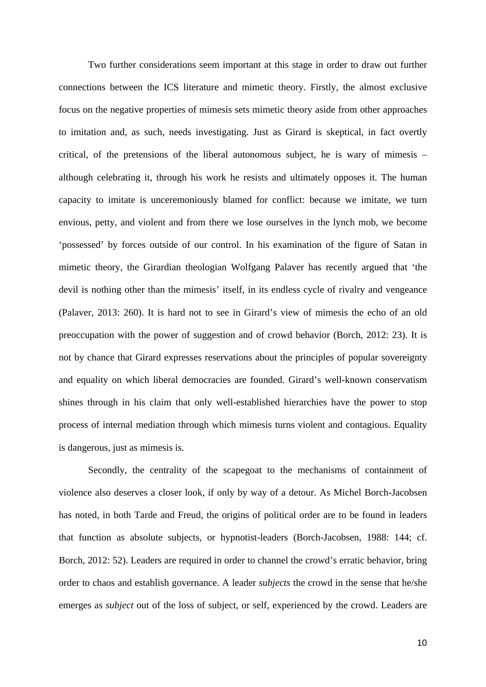Two further considerations seem important at this stage in order to draw out further connections between the ICS literature and mimetic theory. Firstly, the almost exclusive focus on the negative properties of mimesis sets mimetic theory aside from other approaches to imitation and, as such, needs investigating. Just as Girard is skeptical, in fact overtly critical, of the pretensions of the liberal autonomous subject, he is wary of mimesis – although celebrating it, through his work he resists and ultimately opposes it. The human capacity to imitate is unceremoniously blamed for conflict: because we imitate, we turn envious, petty, and violent and from there we lose ourselves in the lynch mob, we become 'possessed' by forces outside of our control. In his examination of the figure of Satan in mimetic theory, the Girardian theologian Wolfgang Palaver has recently argued that 'the devil is nothing other than the mimesis' itself, in its endless cycle of rivalry and vengeance (Palaver, 2013: 260). It is hard not to see in Girard's view of mimesis the echo of an old preoccupation with the power of suggestion and of crowd behavior (Borch, 2012: 23). It is not by chance that Girard expresses reservations about the principles of popular sovereignty and equality on which liberal democracies are founded. Girard's well-known conservatism shines through in his claim that only well-established hierarchies have the power to stop process of internal mediation through which mimesis turns violent and contagious. Equality is dangerous, just as mimesis is.

Secondly, the centrality of the scapegoat to the mechanisms of containment of violence also deserves a closer look, if only by way of a detour. As Michel Borch-Jacobsen has noted, in both Tarde and Freud, the origins of political order are to be found in leaders that function as absolute subjects, or hypnotist-leaders (Borch-Jacobsen, 1988: 144; cf. Borch, 2012: 52). Leaders are required in order to channel the crowd's erratic behavior, bring order to chaos and establish governance. A leader *subjects* the crowd in the sense that he/she emerges as *subject* out of the loss of subject, or self, experienced by the crowd. Leaders are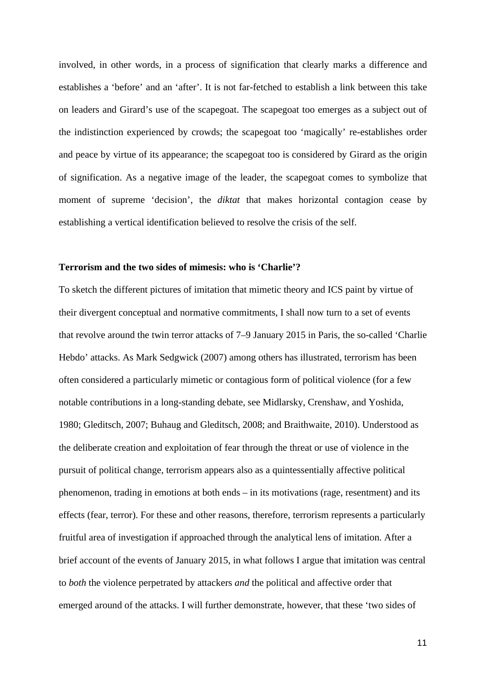involved, in other words, in a process of signification that clearly marks a difference and establishes a 'before' and an 'after'. It is not far-fetched to establish a link between this take on leaders and Girard's use of the scapegoat. The scapegoat too emerges as a subject out of the indistinction experienced by crowds; the scapegoat too 'magically' re-establishes order and peace by virtue of its appearance; the scapegoat too is considered by Girard as the origin of signification. As a negative image of the leader, the scapegoat comes to symbolize that moment of supreme 'decision', the *diktat* that makes horizontal contagion cease by establishing a vertical identification believed to resolve the crisis of the self.

#### **Terrorism and the two sides of mimesis: who is 'Charlie'?**

To sketch the different pictures of imitation that mimetic theory and ICS paint by virtue of their divergent conceptual and normative commitments, I shall now turn to a set of events that revolve around the twin terror attacks of 7–9 January 2015 in Paris, the so-called 'Charlie Hebdo' attacks. As Mark Sedgwick (2007) among others has illustrated, terrorism has been often considered a particularly mimetic or contagious form of political violence (for a few notable contributions in a long-standing debate, see Midlarsky, Crenshaw, and Yoshida, 1980; Gleditsch, 2007; Buhaug and Gleditsch, 2008; and Braithwaite, 2010). Understood as the deliberate creation and exploitation of fear through the threat or use of violence in the pursuit of political change, terrorism appears also as a quintessentially affective political phenomenon, trading in emotions at both ends – in its motivations (rage, resentment) and its effects (fear, terror). For these and other reasons, therefore, terrorism represents a particularly fruitful area of investigation if approached through the analytical lens of imitation. After a brief account of the events of January 2015, in what follows I argue that imitation was central to *both* the violence perpetrated by attackers *and* the political and affective order that emerged around of the attacks. I will further demonstrate, however, that these 'two sides of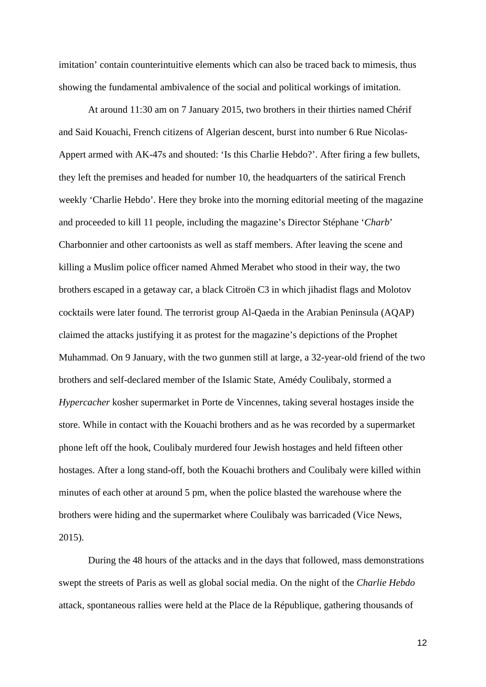imitation' contain counterintuitive elements which can also be traced back to mimesis, thus showing the fundamental ambivalence of the social and political workings of imitation.

At around 11:30 am on 7 January 2015, two brothers in their thirties named Chérif and Said Kouachi, French citizens of Algerian descent, burst into number 6 Rue Nicolas-Appert armed with AK-47s and shouted: 'Is this Charlie Hebdo?'. After firing a few bullets, they left the premises and headed for number 10, the headquarters of the satirical French weekly 'Charlie Hebdo'. Here they broke into the morning editorial meeting of the magazine and proceeded to kill 11 people, including the magazine's Director Stéphane '*Charb*' Charbonnier and other cartoonists as well as staff members. After leaving the scene and killing a Muslim police officer named Ahmed Merabet who stood in their way, the two brothers escaped in a getaway car, a black Citroën C3 in which jihadist flags and Molotov cocktails were later found. The terrorist group Al-Qaeda in the Arabian Peninsula (AQAP) claimed the attacks justifying it as protest for the magazine's depictions of the Prophet Muhammad. On 9 January, with the two gunmen still at large, a 32-year-old friend of the two brothers and self-declared member of the Islamic State, Amédy Coulibaly, stormed a *Hypercacher* kosher supermarket in Porte de Vincennes, taking several hostages inside the store. While in contact with the Kouachi brothers and as he was recorded by a supermarket phone left off the hook, Coulibaly murdered four Jewish hostages and held fifteen other hostages. After a long stand-off, both the Kouachi brothers and Coulibaly were killed within minutes of each other at around 5 pm, when the police blasted the warehouse where the brothers were hiding and the supermarket where Coulibaly was barricaded (Vice News, 2015).

During the 48 hours of the attacks and in the days that followed, mass demonstrations swept the streets of Paris as well as global social media. On the night of the *Charlie Hebdo* attack, spontaneous rallies were held at the Place de la République, gathering thousands of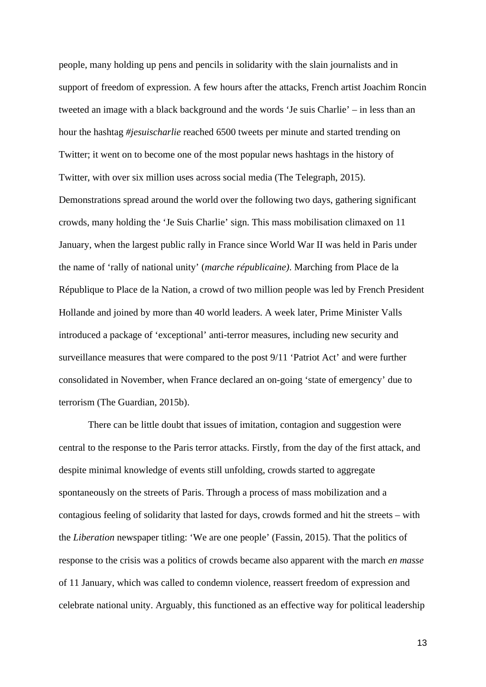people, many holding up pens and pencils in solidarity with the slain journalists and in support of freedom of expression. A few hours after the attacks, French artist Joachim Roncin tweeted an image with a black background and the words 'Je suis Charlie' – in less than an hour the hashtag *#jesuischarlie* reached 6500 tweets per minute and started trending on Twitter; it went on to become one of the most popular news hashtags in the history of Twitter, with over six million uses across social media (The Telegraph, 2015). Demonstrations spread around the world over the following two days, gathering significant crowds, many holding the 'Je Suis Charlie' sign. This mass mobilisation climaxed on 11 January, when the largest public rally in France since World War II was held in Paris under the name of 'rally of national unity' (*marche républicaine)*. Marching from Place de la République to Place de la Nation, a crowd of two million people was led by French President Hollande and joined by more than 40 world leaders. A week later, Prime Minister Valls introduced a package of 'exceptional' anti-terror measures, including new security and surveillance measures that were compared to the post 9/11 'Patriot Act' and were further consolidated in November, when France declared an on-going 'state of emergency' due to terrorism (The Guardian, 2015b).

There can be little doubt that issues of imitation, contagion and suggestion were central to the response to the Paris terror attacks. Firstly, from the day of the first attack, and despite minimal knowledge of events still unfolding, crowds started to aggregate spontaneously on the streets of Paris. Through a process of mass mobilization and a contagious feeling of solidarity that lasted for days, crowds formed and hit the streets – with the *Liberation* newspaper titling: 'We are one people' (Fassin, 2015). That the politics of response to the crisis was a politics of crowds became also apparent with the march *en masse* of 11 January, which was called to condemn violence, reassert freedom of expression and celebrate national unity. Arguably, this functioned as an effective way for political leadership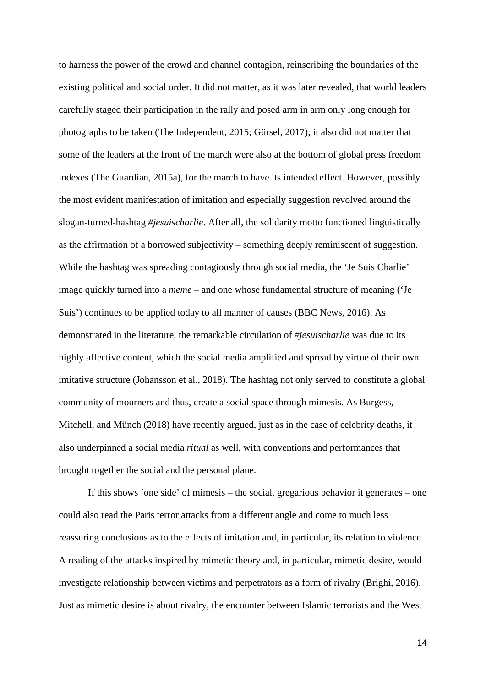to harness the power of the crowd and channel contagion, reinscribing the boundaries of the existing political and social order. It did not matter, as it was later revealed, that world leaders carefully staged their participation in the rally and posed arm in arm only long enough for photographs to be taken (The Independent, 2015; Gürsel, 2017); it also did not matter that some of the leaders at the front of the march were also at the bottom of global press freedom indexes (The Guardian, 2015a), for the march to have its intended effect. However, possibly the most evident manifestation of imitation and especially suggestion revolved around the slogan-turned-hashtag *#jesuischarlie*. After all, the solidarity motto functioned linguistically as the affirmation of a borrowed subjectivity – something deeply reminiscent of suggestion. While the hashtag was spreading contagiously through social media, the 'Je Suis Charlie' image quickly turned into a *meme* – and one whose fundamental structure of meaning ('Je Suis') continues to be applied today to all manner of causes (BBC News, 2016). As demonstrated in the literature, the remarkable circulation of *#jesuischarlie* was due to its highly affective content, which the social media amplified and spread by virtue of their own imitative structure (Johansson et al., 2018). The hashtag not only served to constitute a global community of mourners and thus, create a social space through mimesis. As Burgess, Mitchell, and Münch (2018) have recently argued, just as in the case of celebrity deaths, it also underpinned a social media *ritual* as well, with conventions and performances that brought together the social and the personal plane.

If this shows 'one side' of mimesis – the social, gregarious behavior it generates – one could also read the Paris terror attacks from a different angle and come to much less reassuring conclusions as to the effects of imitation and, in particular, its relation to violence. A reading of the attacks inspired by mimetic theory and, in particular, mimetic desire, would investigate relationship between victims and perpetrators as a form of rivalry (Brighi, 2016). Just as mimetic desire is about rivalry, the encounter between Islamic terrorists and the West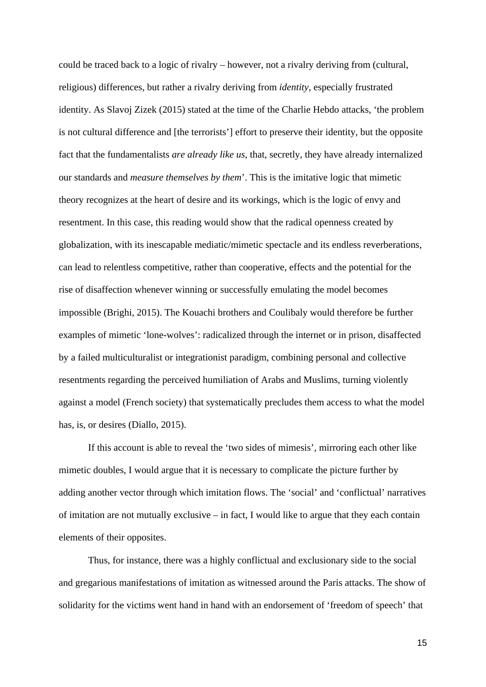could be traced back to a logic of rivalry – however, not a rivalry deriving from (cultural, religious) differences, but rather a rivalry deriving from *identity*, especially frustrated identity. As Slavoj Zizek (2015) stated at the time of the Charlie Hebdo attacks, 'the problem is not cultural difference and [the terrorists'] effort to preserve their identity, but the opposite fact that the fundamentalists *are already like us*, that, secretly, they have already internalized our standards and *measure themselves by them*'. This is the imitative logic that mimetic theory recognizes at the heart of desire and its workings, which is the logic of envy and resentment. In this case, this reading would show that the radical openness created by globalization, with its inescapable mediatic/mimetic spectacle and its endless reverberations, can lead to relentless competitive, rather than cooperative, effects and the potential for the rise of disaffection whenever winning or successfully emulating the model becomes impossible (Brighi, 2015). The Kouachi brothers and Coulibaly would therefore be further examples of mimetic 'lone-wolves': radicalized through the internet or in prison, disaffected by a failed multiculturalist or integrationist paradigm, combining personal and collective resentments regarding the perceived humiliation of Arabs and Muslims, turning violently against a model (French society) that systematically precludes them access to what the model has, is, or desires (Diallo, 2015).

If this account is able to reveal the 'two sides of mimesis', mirroring each other like mimetic doubles, I would argue that it is necessary to complicate the picture further by adding another vector through which imitation flows. The 'social' and 'conflictual' narratives of imitation are not mutually exclusive – in fact, I would like to argue that they each contain elements of their opposites.

Thus, for instance, there was a highly conflictual and exclusionary side to the social and gregarious manifestations of imitation as witnessed around the Paris attacks. The show of solidarity for the victims went hand in hand with an endorsement of 'freedom of speech' that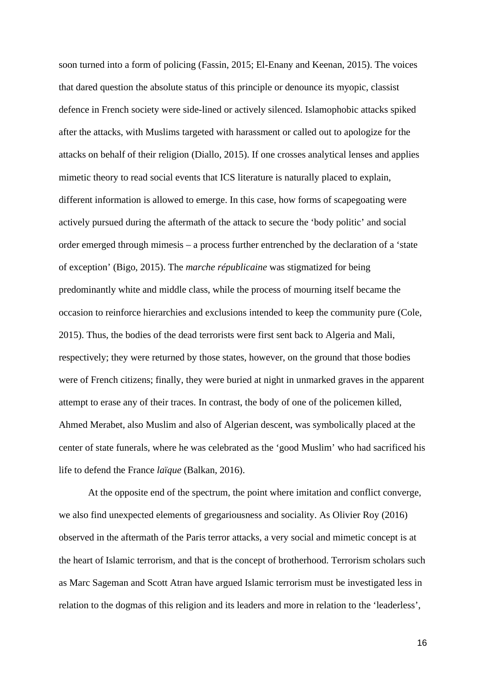soon turned into a form of policing (Fassin, 2015; El-Enany and Keenan, 2015). The voices that dared question the absolute status of this principle or denounce its myopic, classist defence in French society were side-lined or actively silenced. Islamophobic attacks spiked after the attacks, with Muslims targeted with harassment or called out to apologize for the attacks on behalf of their religion (Diallo, 2015). If one crosses analytical lenses and applies mimetic theory to read social events that ICS literature is naturally placed to explain, different information is allowed to emerge. In this case, how forms of scapegoating were actively pursued during the aftermath of the attack to secure the 'body politic' and social order emerged through mimesis – a process further entrenched by the declaration of a 'state of exception' (Bigo, 2015). The *marche républicaine* was stigmatized for being predominantly white and middle class, while the process of mourning itself became the occasion to reinforce hierarchies and exclusions intended to keep the community pure (Cole, 2015). Thus, the bodies of the dead terrorists were first sent back to Algeria and Mali, respectively; they were returned by those states, however, on the ground that those bodies were of French citizens; finally, they were buried at night in unmarked graves in the apparent attempt to erase any of their traces. In contrast, the body of one of the policemen killed, Ahmed Merabet, also Muslim and also of Algerian descent, was symbolically placed at the center of state funerals, where he was celebrated as the 'good Muslim' who had sacrificed his life to defend the France *laïque* (Balkan, 2016).

At the opposite end of the spectrum, the point where imitation and conflict converge, we also find unexpected elements of gregariousness and sociality. As Olivier Roy (2016) observed in the aftermath of the Paris terror attacks, a very social and mimetic concept is at the heart of Islamic terrorism, and that is the concept of brotherhood. Terrorism scholars such as Marc Sageman and Scott Atran have argued Islamic terrorism must be investigated less in relation to the dogmas of this religion and its leaders and more in relation to the 'leaderless',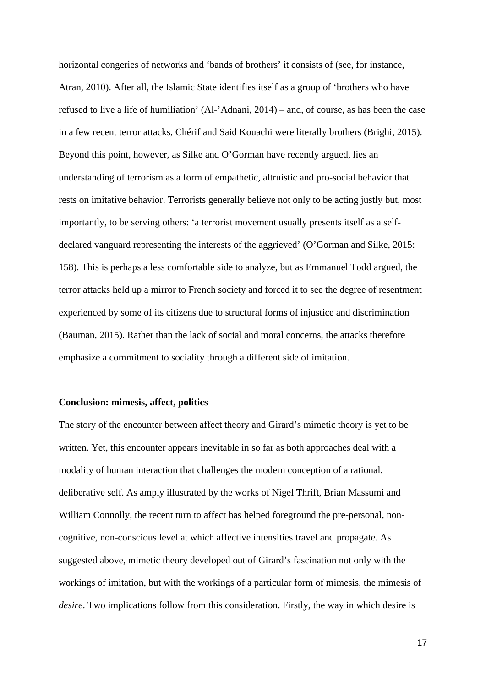horizontal congeries of networks and 'bands of brothers' it consists of (see, for instance, Atran, 2010). After all, the Islamic State identifies itself as a group of 'brothers who have refused to live a life of humiliation' (Al-'Adnani, 2014) – and, of course, as has been the case in a few recent terror attacks, Chérif and Said Kouachi were literally brothers (Brighi, 2015). Beyond this point, however, as Silke and O'Gorman have recently argued, lies an understanding of terrorism as a form of empathetic, altruistic and pro-social behavior that rests on imitative behavior. Terrorists generally believe not only to be acting justly but, most importantly, to be serving others: 'a terrorist movement usually presents itself as a selfdeclared vanguard representing the interests of the aggrieved' (O'Gorman and Silke, 2015: 158). This is perhaps a less comfortable side to analyze, but as Emmanuel Todd argued, the terror attacks held up a mirror to French society and forced it to see the degree of resentment experienced by some of its citizens due to structural forms of injustice and discrimination (Bauman, 2015). Rather than the lack of social and moral concerns, the attacks therefore emphasize a commitment to sociality through a different side of imitation.

#### **Conclusion: mimesis, affect, politics**

The story of the encounter between affect theory and Girard's mimetic theory is yet to be written. Yet, this encounter appears inevitable in so far as both approaches deal with a modality of human interaction that challenges the modern conception of a rational, deliberative self. As amply illustrated by the works of Nigel Thrift, Brian Massumi and William Connolly, the recent turn to affect has helped foreground the pre-personal, noncognitive, non-conscious level at which affective intensities travel and propagate. As suggested above, mimetic theory developed out of Girard's fascination not only with the workings of imitation, but with the workings of a particular form of mimesis, the mimesis of *desire*. Two implications follow from this consideration. Firstly, the way in which desire is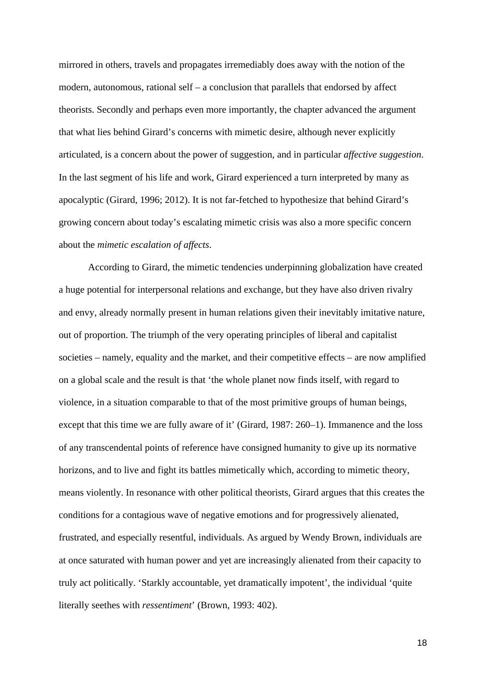mirrored in others, travels and propagates irremediably does away with the notion of the modern, autonomous, rational self – a conclusion that parallels that endorsed by affect theorists. Secondly and perhaps even more importantly, the chapter advanced the argument that what lies behind Girard's concerns with mimetic desire, although never explicitly articulated, is a concern about the power of suggestion, and in particular *affective suggestion*. In the last segment of his life and work, Girard experienced a turn interpreted by many as apocalyptic (Girard, 1996; 2012). It is not far-fetched to hypothesize that behind Girard's growing concern about today's escalating mimetic crisis was also a more specific concern about the *mimetic escalation of affects*.

According to Girard, the mimetic tendencies underpinning globalization have created a huge potential for interpersonal relations and exchange, but they have also driven rivalry and envy, already normally present in human relations given their inevitably imitative nature, out of proportion. The triumph of the very operating principles of liberal and capitalist societies – namely, equality and the market, and their competitive effects – are now amplified on a global scale and the result is that 'the whole planet now finds itself, with regard to violence, in a situation comparable to that of the most primitive groups of human beings, except that this time we are fully aware of it' (Girard, 1987: 260–1). Immanence and the loss of any transcendental points of reference have consigned humanity to give up its normative horizons, and to live and fight its battles mimetically which, according to mimetic theory, means violently. In resonance with other political theorists, Girard argues that this creates the conditions for a contagious wave of negative emotions and for progressively alienated, frustrated, and especially resentful, individuals. As argued by Wendy Brown, individuals are at once saturated with human power and yet are increasingly alienated from their capacity to truly act politically. 'Starkly accountable, yet dramatically impotent', the individual 'quite literally seethes with *ressentiment*' (Brown, 1993: 402).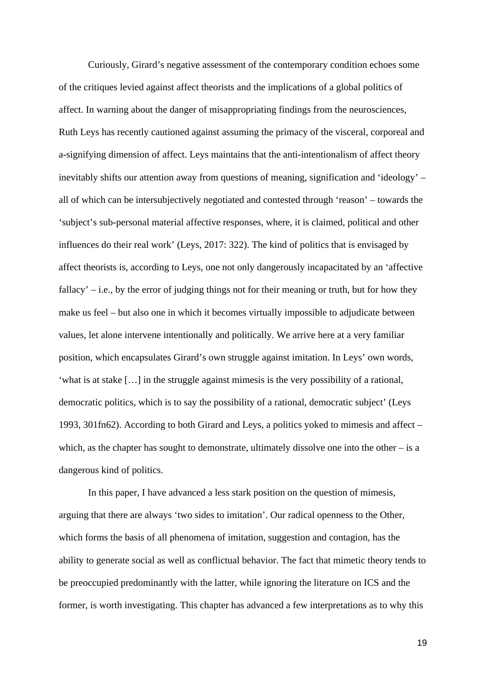Curiously, Girard's negative assessment of the contemporary condition echoes some of the critiques levied against affect theorists and the implications of a global politics of affect. In warning about the danger of misappropriating findings from the neurosciences, Ruth Leys has recently cautioned against assuming the primacy of the visceral, corporeal and a-signifying dimension of affect. Leys maintains that the anti-intentionalism of affect theory inevitably shifts our attention away from questions of meaning, signification and 'ideology' – all of which can be intersubjectively negotiated and contested through 'reason' – towards the 'subject's sub-personal material affective responses, where, it is claimed, political and other influences do their real work' (Leys, 2017: 322). The kind of politics that is envisaged by affect theorists is, according to Leys, one not only dangerously incapacitated by an 'affective fallacy'  $-$  i.e., by the error of judging things not for their meaning or truth, but for how they make us feel – but also one in which it becomes virtually impossible to adjudicate between values, let alone intervene intentionally and politically. We arrive here at a very familiar position, which encapsulates Girard's own struggle against imitation. In Leys' own words, 'what is at stake […] in the struggle against mimesis is the very possibility of a rational, democratic politics, which is to say the possibility of a rational, democratic subject' (Leys 1993, 301fn62). According to both Girard and Leys, a politics yoked to mimesis and affect – which, as the chapter has sought to demonstrate, ultimately dissolve one into the other  $-$  is a dangerous kind of politics.

In this paper, I have advanced a less stark position on the question of mimesis, arguing that there are always 'two sides to imitation'. Our radical openness to the Other, which forms the basis of all phenomena of imitation, suggestion and contagion, has the ability to generate social as well as conflictual behavior. The fact that mimetic theory tends to be preoccupied predominantly with the latter, while ignoring the literature on ICS and the former, is worth investigating. This chapter has advanced a few interpretations as to why this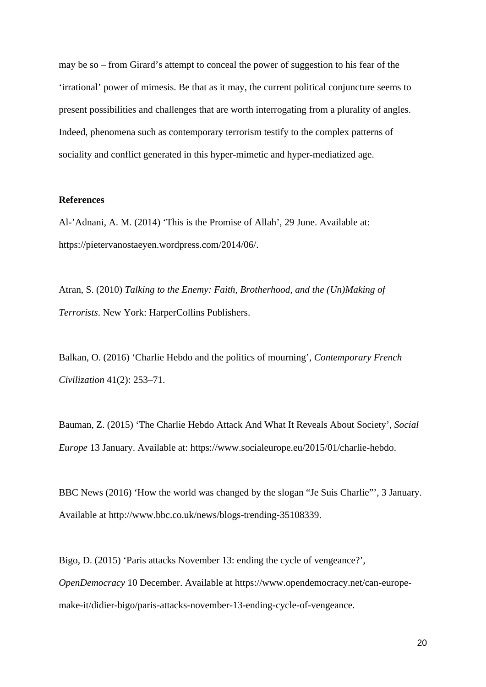may be so – from Girard's attempt to conceal the power of suggestion to his fear of the 'irrational' power of mimesis. Be that as it may, the current political conjuncture seems to present possibilities and challenges that are worth interrogating from a plurality of angles. Indeed, phenomena such as contemporary terrorism testify to the complex patterns of sociality and conflict generated in this hyper-mimetic and hyper-mediatized age.

### **References**

Al-'Adnani, A. M. (2014) 'This is the Promise of Allah', 29 June. Available at: https://pietervanostaeyen.wordpress.com/2014/06/.

Atran, S. (2010) *Talking to the Enemy: Faith, Brotherhood, and the (Un)Making of Terrorists*. New York: HarperCollins Publishers.

Balkan, O. (2016) 'Charlie Hebdo and the politics of mourning', *Contemporary French Civilization* 41(2): 253–71.

Bauman, Z. (2015) 'The Charlie Hebdo Attack And What It Reveals About Society', *Social Europe* 13 January. Available at: https://www.socialeurope.eu/2015/01/charlie-hebdo.

BBC News (2016) 'How the world was changed by the slogan "Je Suis Charlie"', 3 January. Available at http://www.bbc.co.uk/news/blogs-trending-35108339.

Bigo, D. (2015) 'Paris attacks November 13: ending the cycle of vengeance?', *OpenDemocracy* 10 December. Available at https://www.opendemocracy.net/can-europemake-it/didier-bigo/paris-attacks-november-13-ending-cycle-of-vengeance.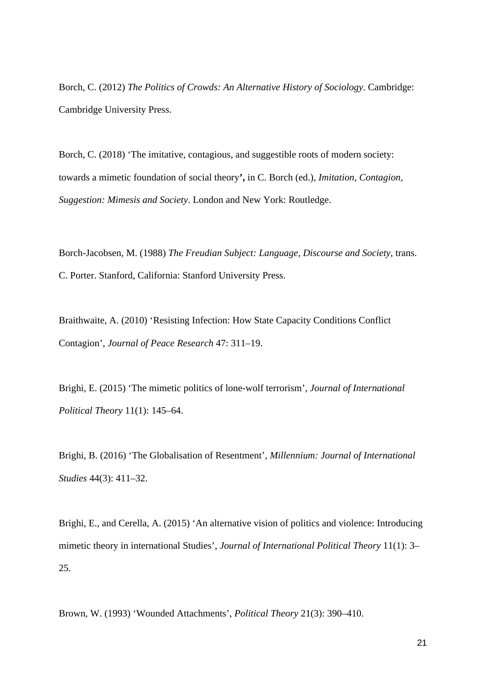Borch, C. (2012) *The Politics of Crowds: An Alternative History of Sociology*. Cambridge: Cambridge University Press.

Borch, C. (2018) 'The imitative, contagious, and suggestible roots of modern society: towards a mimetic foundation of social theory**',** in C. Borch (ed.), *Imitation, Contagion, Suggestion: Mimesis and Society*. London and New York: Routledge.

Borch-Jacobsen, M. (1988) *The Freudian Subject: Language, Discourse and Society*, trans. C. Porter. Stanford, California: Stanford University Press.

Braithwaite, A. (2010) 'Resisting Infection: How State Capacity Conditions Conflict Contagion', *Journal of Peace Research* 47: 311–19.

Brighi, E. (2015) 'The mimetic politics of lone-wolf terrorism', *Journal of International Political Theory* 11(1): 145–64.

Brighi, B. (2016) 'The Globalisation of Resentment', *Millennium: Journal of International Studies* 44(3): 411–32.

Brighi, E., and Cerella, A. (2015) 'An alternative vision of politics and violence: Introducing mimetic theory in international Studies', *Journal of International Political Theory* 11(1): 3– 25.

Brown, W. (1993) 'Wounded Attachments', *Political Theory* 21(3): 390–410.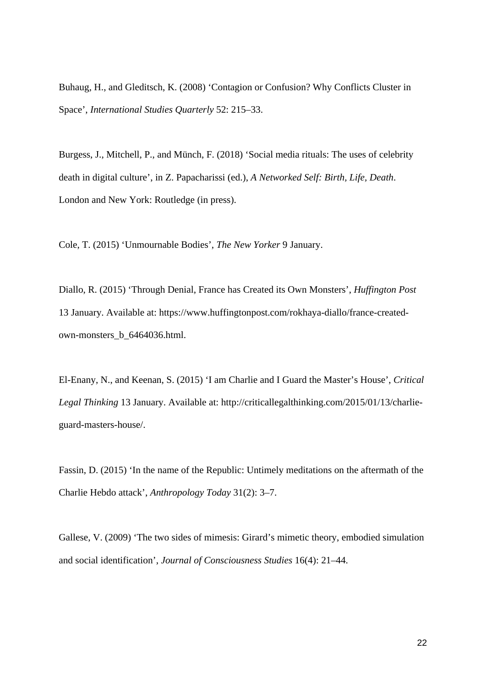Buhaug, H., and Gleditsch, K. (2008) 'Contagion or Confusion? Why Conflicts Cluster in Space', *International Studies Quarterly* 52: 215–33.

Burgess, J., Mitchell, P., and Münch, F. (2018) 'Social media rituals: The uses of celebrity death in digital culture', in Z. Papacharissi (ed.), *A Networked Self: Birth, Life, Death*. London and New York: Routledge (in press).

Cole, T. (2015) 'Unmournable Bodies', *The New Yorker* 9 January.

Diallo, R. (2015) 'Through Denial, France has Created its Own Monsters', *Huffington Post* 13 January. Available at: https://www.huffingtonpost.com/rokhaya-diallo/france-createdown-monsters\_b\_6464036.html.

El-Enany, N., and Keenan, S. (2015) 'I am Charlie and I Guard the Master's House', *Critical Legal Thinking* 13 January. Available at: http://criticallegalthinking.com/2015/01/13/charlieguard-masters-house/.

Fassin, D. (2015) 'In the name of the Republic: Untimely meditations on the aftermath of the Charlie Hebdo attack', *Anthropology Today* 31(2): 3–7.

Gallese, V. (2009) 'The two sides of mimesis: Girard's mimetic theory, embodied simulation and social identification', *Journal of Consciousness Studies* 16(4): 21–44.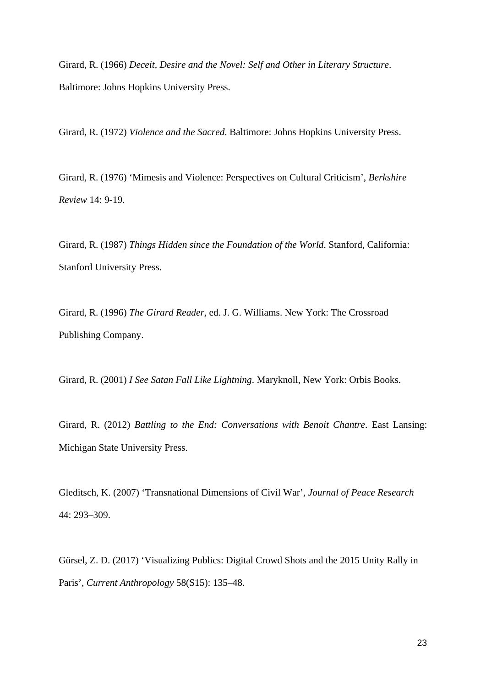Girard, R. (1966) *Deceit, Desire and the Novel: Self and Other in Literary Structure*. Baltimore: Johns Hopkins University Press.

Girard, R. (1972) *Violence and the Sacred*. Baltimore: Johns Hopkins University Press.

Girard, R. (1976) 'Mimesis and Violence: Perspectives on Cultural Criticism', *Berkshire Review* 14: 9-19.

Girard, R. (1987) *Things Hidden since the Foundation of the World*. Stanford, California: Stanford University Press.

Girard, R. (1996) *The Girard Reader*, ed. J. G. Williams. New York: The Crossroad Publishing Company.

Girard, R. (2001) *I See Satan Fall Like Lightning*. Maryknoll, New York: Orbis Books.

Girard, R. (2012) *Battling to the End: Conversations with Benoit Chantre*. East Lansing: Michigan State University Press.

Gleditsch, K. (2007) 'Transnational Dimensions of Civil War', *Journal of Peace Research* 44: 293–309.

Gürsel, Z. D. (2017) 'Visualizing Publics: Digital Crowd Shots and the 2015 Unity Rally in Paris', *Current Anthropology* 58(S15): 135–48.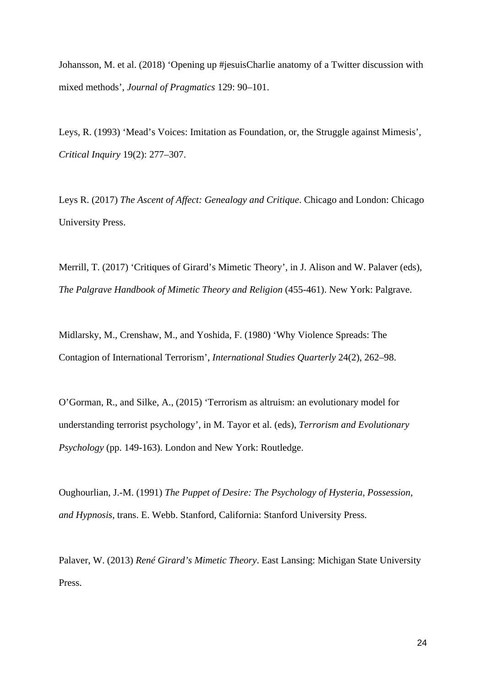Johansson, M. et al. (2018) 'Opening up #jesuisCharlie anatomy of a Twitter discussion with mixed methods', *Journal of Pragmatics* 129: 90–101.

Leys, R. (1993) 'Mead's Voices: Imitation as Foundation, or, the Struggle against Mimesis', *Critical Inquiry* 19(2): 277–307.

Leys R. (2017) *The Ascent of Affect: Genealogy and Critique*. Chicago and London: Chicago University Press.

Merrill, T. (2017) 'Critiques of Girard's Mimetic Theory', in J. Alison and W. Palaver (eds), *The Palgrave Handbook of Mimetic Theory and Religion* (455-461). New York: Palgrave.

Midlarsky, M., Crenshaw, M., and Yoshida, F. (1980) 'Why Violence Spreads: The Contagion of International Terrorism', *International Studies Quarterly* 24(2), 262–98.

O'Gorman, R., and Silke, A., (2015) 'Terrorism as altruism: an evolutionary model for understanding terrorist psychology', in M. Tayor et al. (eds), *Terrorism and Evolutionary Psychology* (pp. 149-163). London and New York: Routledge.

Oughourlian, J.-M. (1991) *The Puppet of Desire: The Psychology of Hysteria, Possession, and Hypnosis*, trans. E. Webb. Stanford, California: Stanford University Press.

Palaver, W. (2013) *René Girard's Mimetic Theory*. East Lansing: Michigan State University Press.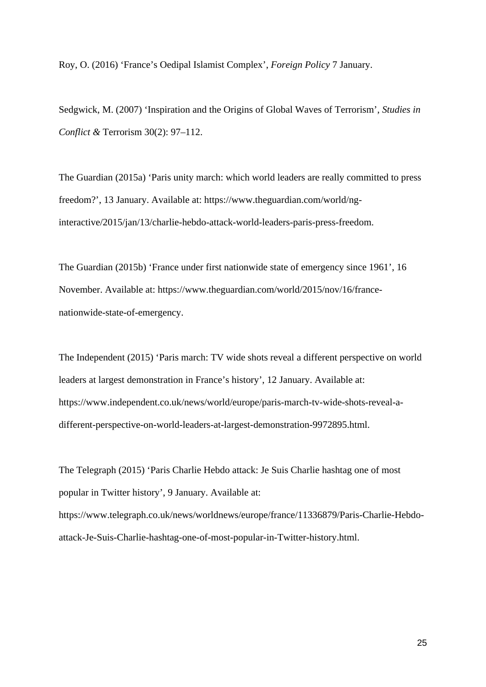Roy, O. (2016) 'France's Oedipal Islamist Complex', *Foreign Policy* 7 January.

Sedgwick, M. (2007) 'Inspiration and the Origins of Global Waves of Terrorism', *Studies in Conflict &* Terrorism 30(2): 97–112.

The Guardian (2015a) 'Paris unity march: which world leaders are really committed to press freedom?', 13 January. Available at: https://www.theguardian.com/world/nginteractive/2015/jan/13/charlie-hebdo-attack-world-leaders-paris-press-freedom.

The Guardian (2015b) 'France under first nationwide state of emergency since 1961', 16 November. Available at: https://www.theguardian.com/world/2015/nov/16/francenationwide-state-of-emergency.

The Independent (2015) 'Paris march: TV wide shots reveal a different perspective on world leaders at largest demonstration in France's history', 12 January. Available at: https://www.independent.co.uk/news/world/europe/paris-march-tv-wide-shots-reveal-adifferent-perspective-on-world-leaders-at-largest-demonstration-9972895.html.

The Telegraph (2015) 'Paris Charlie Hebdo attack: Je Suis Charlie hashtag one of most popular in Twitter history', 9 January. Available at: https://www.telegraph.co.uk/news/worldnews/europe/france/11336879/Paris-Charlie-Hebdoattack-Je-Suis-Charlie-hashtag-one-of-most-popular-in-Twitter-history.html.